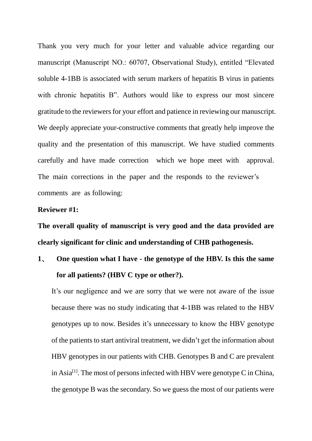Thank you very much for your letter and valuable advice regarding our manuscript (Manuscript NO.: 60707, Observational Study), entitled "Elevated soluble 4-1BB is associated with serum markers of hepatitis B virus in patients with chronic hepatitis B". Authors would like to express our most sincere gratitude to the reviewers for your effort and patience in reviewing our manuscript. We deeply appreciate your-constructive comments that greatly help improve the quality and the presentation of this manuscript. We have studied comments carefully and have made correction which we hope meet with approval. The main corrections in the paper and the responds to the reviewer's comments are as following:

#### **Reviewer #1:**

**The overall quality of manuscript is very good and the data provided are clearly significant for clinic and understanding of CHB pathogenesis.** 

## **1、 One question what I have - the genotype of the HBV. Is this the same for all patients? (HBV C type or other?).**

It's our negligence and we are sorry that we were not aware of the issue because there was no study indicating that 4-1BB was related to the HBV genotypes up to now. Besides it's unnecessary to know the HBV genotype of the patients to start antiviral treatment, we didn't get the information about HBV genotypes in our patients with CHB. Genotypes B and C are prevalent in Asia<sup>[1]</sup>. The most of persons infected with HBV were genotype C in China, the genotype B was the secondary. So we guess the most of our patients were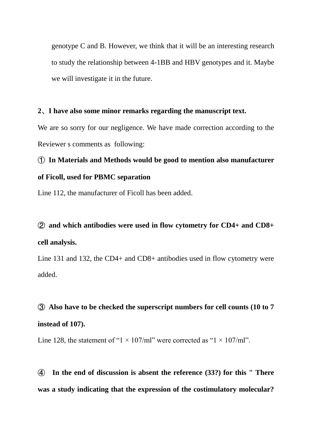genotype C and B. However, we think that it will be an interesting research to study the relationship between 4-1BB and HBV genotypes and it. Maybe we will investigate it in the future.

#### **2、I have also some minor remarks regarding the manuscript text.**

We are so sorry for our negligence. We have made correction according to the Reviewer s comments as following:

## **① In Materials and Methods would be good to mention also manufacturer of Ficoll, used for PBMC separation**

Line 112, the manufacturer of Ficoll has been added.

## **② and which antibodies were used in flow cytometry for CD4+ and CD8+ cell analysis.**

Line 131 and 132, the CD4+ and CD8+ antibodies used in flow cytometry were added.

### **③ Also have to be checked the superscript numbers for cell counts (10 to 7**

#### **instead of 107).**

Line 128, the statement of "1  $\times$  107/ml" were corrected as "1  $\times$  107/ml".

**④ In the end of discussion is absent the reference (33?) for this " There was a study indicating that the expression of the costimulatory molecular?**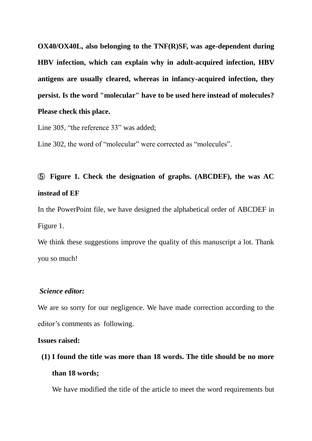**OX40/OX40L, also belonging to the TNF(R)SF, was age-dependent during HBV infection, which can explain why in adult-acquired infection, HBV antigens are usually cleared, whereas in infancy-acquired infection, they persist. Is the word "molecular" have to be used here instead of molecules? Please check this place.** 

Line 305, "the reference 33" was added;

Line 302, the word of "molecular" were corrected as "molecules".

## **⑤ Figure 1. Check the designation of graphs. (ABCDEF), the was AC instead of EF**

In the PowerPoint file, we have designed the alphabetical order of ABCDEF in Figure 1.

We think these suggestions improve the quality of this manuscript a lot. Thank you so much!

#### *Science editor:*

We are so sorry for our negligence. We have made correction according to the editor's comments as following.

#### **Issues raised:**

**(1) I found the title was more than 18 words. The title should be no more than 18 words;** 

We have modified the title of the article to meet the word requirements but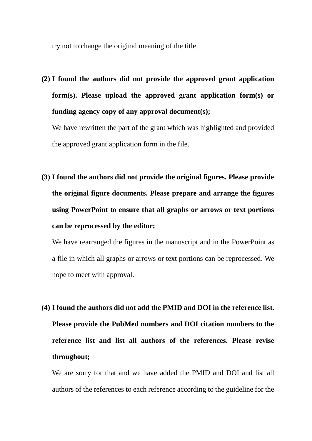try not to change the original meaning of the title.

**(2) I found the authors did not provide the approved grant application form(s). Please upload the approved grant application form(s) or funding agency copy of any approval document(s);** 

We have rewritten the part of the grant which was highlighted and provided the approved grant application form in the file.

**(3) I found the authors did not provide the original figures. Please provide the original figure documents. Please prepare and arrange the figures using PowerPoint to ensure that all graphs or arrows or text portions can be reprocessed by the editor;** 

We have rearranged the figures in the manuscript and in the PowerPoint as a file in which all graphs or arrows or text portions can be reprocessed. We hope to meet with approval.

**(4) I found the authors did not add the PMID and DOI in the reference list. Please provide the PubMed numbers and DOI citation numbers to the reference list and list all authors of the references. Please revise throughout;** 

We are sorry for that and we have added the PMID and DOI and list all authors of the references to each reference according to the guideline for the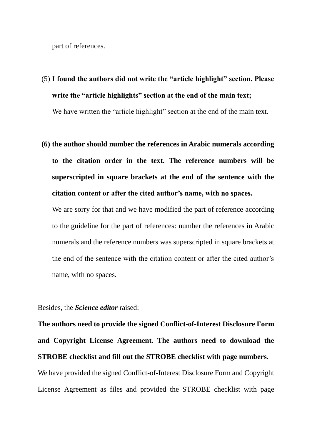part of references.

# (5) **I found the authors did not write the "article highlight" section. Please write the "article highlights" section at the end of the main text;**

We have written the "article highlight" section at the end of the main text.

**(6) the author should number the references in Arabic numerals according to the citation order in the text. The reference numbers will be superscripted in square brackets at the end of the sentence with the citation content or after the cited author's name, with no spaces.**

We are sorry for that and we have modified the part of reference according to the guideline for the part of references: number the references in Arabic numerals and the reference numbers was superscripted in square brackets at the end of the sentence with the citation content or after the cited author's name, with no spaces.

Besides, the *Science editor* raised:

**The authors need to provide the signed Conflict-of-Interest Disclosure Form and Copyright License Agreement. The authors need to download the STROBE checklist and fill out the STROBE checklist with page numbers.** We have provided the signed Conflict-of-Interest Disclosure Form and Copyright License Agreement as files and provided the STROBE checklist with page